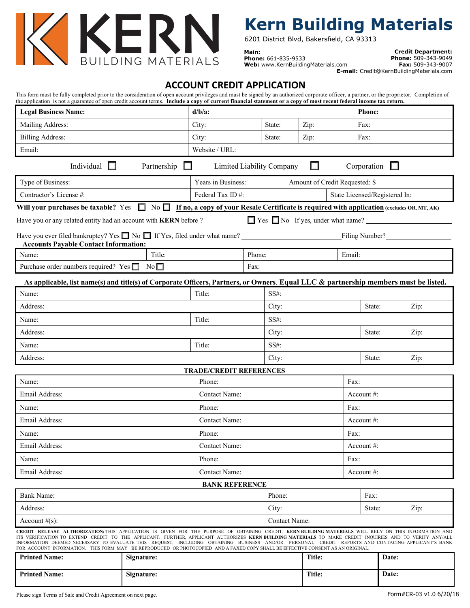

## **Kern Building Materials**

6201 District Blvd, Bakersfield, CA 93313

**Main: Phone:** 661-835-9533 **Web:** [www.KernBuildingMaterials.com](http://www.kernbuildingmaterials.com/)

**Credit Department: Phone:** 509-343-9049 **Fax:** 509-343-9007 **E-mail:** [Credit@KernBuildingMaterials.com](mailto:Credit@KernBuildingMaterials.com)

### **ACCOUNT CREDIT APPLICATION**

| <b>Legal Business Name:</b>                                                                                                                                                                                                                                                                                                                                                                                                                                                                                                                                                                                |                   | $d/b/a$ :          |                                |                                | <b>Phone:</b>                 |               |        |                                               |      |
|------------------------------------------------------------------------------------------------------------------------------------------------------------------------------------------------------------------------------------------------------------------------------------------------------------------------------------------------------------------------------------------------------------------------------------------------------------------------------------------------------------------------------------------------------------------------------------------------------------|-------------------|--------------------|--------------------------------|--------------------------------|-------------------------------|---------------|--------|-----------------------------------------------|------|
| Mailing Address:                                                                                                                                                                                                                                                                                                                                                                                                                                                                                                                                                                                           |                   | City:              |                                | State:                         | Zip:                          |               | Fax:   |                                               |      |
| <b>Billing Address:</b>                                                                                                                                                                                                                                                                                                                                                                                                                                                                                                                                                                                    |                   |                    | City:                          | State:<br>Zip:                 |                               |               |        | Fax:                                          |      |
| Email:                                                                                                                                                                                                                                                                                                                                                                                                                                                                                                                                                                                                     |                   |                    | Website / URL:                 |                                |                               |               |        |                                               |      |
|                                                                                                                                                                                                                                                                                                                                                                                                                                                                                                                                                                                                            | Individual $\Box$ | Partnership<br>Ш   | Limited Liability Company      |                                |                               | ப             |        | Corporation $\square$                         |      |
| Type of Business:                                                                                                                                                                                                                                                                                                                                                                                                                                                                                                                                                                                          |                   | Years in Business: |                                | Amount of Credit Requested: \$ |                               |               |        |                                               |      |
| Contractor's License #:                                                                                                                                                                                                                                                                                                                                                                                                                                                                                                                                                                                    |                   | Federal Tax ID#:   |                                |                                | State Licensed/Registered In: |               |        |                                               |      |
| Will your purchases be taxable? Yes Monday No If no, a copy of your Resale Certificate is required with application (excludes OR, MT, AK)                                                                                                                                                                                                                                                                                                                                                                                                                                                                  |                   |                    |                                |                                |                               |               |        |                                               |      |
| Have you or any related entity had an account with KERN before ?                                                                                                                                                                                                                                                                                                                                                                                                                                                                                                                                           |                   |                    |                                |                                |                               |               |        | $\Box$ Yes $\Box$ No If yes, under what name? |      |
| Have you ever filed bankruptcy? Yes $\Box$ No $\Box$ If Yes, filed under what name?<br><b>Accounts Payable Contact Information:</b>                                                                                                                                                                                                                                                                                                                                                                                                                                                                        |                   |                    |                                |                                |                               |               |        | Filing Number?                                |      |
| Name:                                                                                                                                                                                                                                                                                                                                                                                                                                                                                                                                                                                                      |                   | Title:             |                                | Phone:                         |                               |               | Email: |                                               |      |
| Purchase order numbers required? Yes $\Box$                                                                                                                                                                                                                                                                                                                                                                                                                                                                                                                                                                |                   | No                 |                                | Fax:                           |                               |               |        |                                               |      |
| As applicable, list name(s) and title(s) of Corporate Officers, Partners, or Owners. Equal LLC & partnership members must be listed.                                                                                                                                                                                                                                                                                                                                                                                                                                                                       |                   |                    |                                |                                |                               |               |        |                                               |      |
| Name:                                                                                                                                                                                                                                                                                                                                                                                                                                                                                                                                                                                                      |                   |                    | Title:                         |                                | SS#:                          |               |        |                                               |      |
| Address:                                                                                                                                                                                                                                                                                                                                                                                                                                                                                                                                                                                                   |                   |                    |                                |                                | City:                         |               |        | State:                                        | Zip: |
| Name:                                                                                                                                                                                                                                                                                                                                                                                                                                                                                                                                                                                                      |                   |                    | Title:                         |                                | $SS#$ :                       |               |        |                                               |      |
| Address:                                                                                                                                                                                                                                                                                                                                                                                                                                                                                                                                                                                                   |                   |                    |                                |                                | City:                         |               |        | State:                                        | Zip: |
| Name:                                                                                                                                                                                                                                                                                                                                                                                                                                                                                                                                                                                                      |                   |                    | Title:                         |                                | $SS#$ :                       |               |        |                                               |      |
| Address:                                                                                                                                                                                                                                                                                                                                                                                                                                                                                                                                                                                                   |                   |                    |                                |                                | City:                         |               |        | State:                                        | Zip: |
|                                                                                                                                                                                                                                                                                                                                                                                                                                                                                                                                                                                                            |                   |                    | <b>TRADE/CREDIT REFERENCES</b> |                                |                               |               |        |                                               |      |
| Name:                                                                                                                                                                                                                                                                                                                                                                                                                                                                                                                                                                                                      |                   |                    | Phone:                         |                                |                               | Fax:          |        |                                               |      |
| Email Address:                                                                                                                                                                                                                                                                                                                                                                                                                                                                                                                                                                                             |                   | Contact Name:      |                                |                                | Account #:                    |               |        |                                               |      |
| Name:                                                                                                                                                                                                                                                                                                                                                                                                                                                                                                                                                                                                      |                   | Phone:             |                                |                                | Fax:                          |               |        |                                               |      |
| Email Address:                                                                                                                                                                                                                                                                                                                                                                                                                                                                                                                                                                                             |                   | Contact Name:      |                                |                                | Account $#$ :                 |               |        |                                               |      |
| Name:                                                                                                                                                                                                                                                                                                                                                                                                                                                                                                                                                                                                      |                   | Phone:             |                                |                                | Fax:                          |               |        |                                               |      |
| Email Address:                                                                                                                                                                                                                                                                                                                                                                                                                                                                                                                                                                                             |                   | Contact Name:      |                                |                                | Account #:                    |               |        |                                               |      |
| Name:                                                                                                                                                                                                                                                                                                                                                                                                                                                                                                                                                                                                      |                   |                    | Phone:                         |                                |                               | Fax:          |        |                                               |      |
| Email Address:                                                                                                                                                                                                                                                                                                                                                                                                                                                                                                                                                                                             |                   |                    | <b>Contact Name:</b>           |                                |                               | Account #:    |        |                                               |      |
|                                                                                                                                                                                                                                                                                                                                                                                                                                                                                                                                                                                                            |                   |                    | <b>BANK REFERENCE</b>          |                                |                               |               |        |                                               |      |
| Bank Name:                                                                                                                                                                                                                                                                                                                                                                                                                                                                                                                                                                                                 |                   |                    |                                |                                | Phone:                        |               |        | Fax:                                          |      |
| Address:                                                                                                                                                                                                                                                                                                                                                                                                                                                                                                                                                                                                   |                   |                    |                                | City:                          |                               |               | State: | Zip:                                          |      |
| Account $#(s)$ :                                                                                                                                                                                                                                                                                                                                                                                                                                                                                                                                                                                           |                   |                    |                                |                                | Contact Name:                 |               |        |                                               |      |
| CREDIT RELEASE AUTHORIZATION: THIS APPLICATION IS GIVEN FOR THE PURPOSE OF OBTAINING CREDIT. KERN BUILDING MATERIALS WILL RELY ON THIS INFORMATION AND<br>ITS VERIFICATION TO EXTEND CREDIT TO THE APPLICANT. FURTHER, APPLICANT AUTHORIZES KERN BUILDING MATERIALS TO MAKE CREDIT INQUIRIES AND TO VERIFY ANY/ALL<br>INFORMATION DEEMED NECESSARY TO EVALUATE THIS REQUEST, INCLUDING OBTAINING BUSINESS AND/OR PERSONAL CREDIT REPORTS AND CONTACING APPLICANT'S BANK<br>FOR ACCOUNT INFORMATION. THIS FORM MAY BE REPRODUCED OR PHOTOCOPIED AND A FAXED COPY SHALL BE EFFECTIVE CONSENT AS AN ORIGINAL. |                   |                    |                                |                                |                               |               |        |                                               |      |
| <b>Printed Name:</b>                                                                                                                                                                                                                                                                                                                                                                                                                                                                                                                                                                                       | Signature:        |                    |                                |                                |                               | <b>Title:</b> |        | Date:                                         |      |

**Printed Name: Signature: Signature: Title: Date: Date:**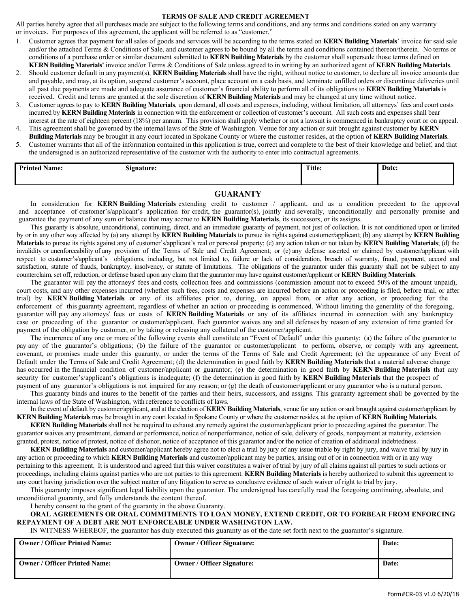#### **TERMS OF SALE AND CREDIT AGREEMENT**

All parties hereby agree that all purchases made are subject to the following terms and conditions, and any terms and conditions stated on any warranty or invoices. For purposes of this agreement, the applicant will be referred to as "customer."

- 1. Customer agrees that payment for all sales of goods and services will be according to the terms stated on **KERN Building Materials**' invoice for said sale and/or the attached Terms & Conditions of Sale, and customer agrees to be bound by all the terms and conditions contained thereon/therein. No terms or conditions of a purchase order or similar document submitted to **KERN Building Materials** by the customer shall supersede those terms defined on **KERN Building Materials'** invoice and/or Terms & Conditions of Sale unless agreed to in writing by an authorized agent of **KERN Building Materials**.
- 2. Should customer default in any payment(s), **KERN Building Materials** shall have the right, without notice to customer, to declare all invoice amounts due and payable, and may, at its option, suspend customer's account, place account on a cash basis, and terminate unfilled orders or discontinue deliveries until all past due payments are made and adequate assurance of customer's financial ability to perform all of its obligations to **KERN Building Materials** is received. Credit and terms are granted at the sole discretion of **KERN Building Materials** and may be changed at any time without notice.
- 3. Customer agrees to pay to **KERN Building Materials**, upon demand, all costs and expenses, including, without limitation, all attorneys' fees and court costs incurred by **KERN Building Materials** in connection with the enforcement or collection of customer's account. All such costs and expenses shall bear interest at the rate of eighteen percent (18%) per annum. This provision shall apply whether or not a lawsuit is commenced in bankruptcy court or on appeal.
- 4. This agreement shall be governed by the internal laws of the State of Washington. Venue for any action or suit brought against customer by **KERN Building Materials** may be brought in any court located in Spokane County or where the customer resides, at the option of **KERN Building Materials**.
- 5. Customer warrants that all of the information contained in this application is true, correct and complete to the best of their knowledge and belief, and that the undersigned is an authorized representative of the customer with the authority to enter into contractual agreements.

| Drinton<br>$\mathbf{v}$<br><b>Name:</b> | $\sim$<br><b>Signature:</b> | Title: | Date: |
|-----------------------------------------|-----------------------------|--------|-------|
|                                         |                             |        |       |

#### **GUARANTY**

In consideration for **KERN Building Materials** extending credit to customer / applicant, and as a condition precedent to the approval and acceptance of customer's/applicant's application for credit, the guarantor(s), jointly and severally, unconditionally and personally promise and guarantee the payment of any sum or balance that may accrue to **KERN Building Materials**, its successors, or its assigns.

This guaranty is absolute, unconditional, continuing, direct, and an immediate guaranty of payment, not just of collection. It is not conditioned upon or limited by or in any other way affected by (a) any attempt by **KERN Building Materials** to pursue its rights against customer/applicant; (b) any attempt by **KERN Building Materials** to pursue its rights against any of customer's/applicant's real or personal property; (c) any action taken or not taken by **KERN Building Materials**; (d) the invalidity or unenforceability of any provision of the Terms of Sale and Credit Agreement; or (e) any defense asserted or claimed by customer/applicant with respect to customer's/applicant's obligations, including, but not limited to, failure or lack of consideration, breach of warranty, fraud, payment, accord and satisfaction, statute of frauds, bankruptcy, insolvency, or statute of limitations. The obligations of the guarantor under this guaranty shall not be subject to any counterclaim, set off, reduction, or defense based upon any claim that the guarantor may have against customer/applicant or **KERN Building Materials**.

The guarantor will pay the attorneys' fees and costs, collection fees and commissions (commission amount not to exceed 50% of the amount unpaid), court costs, and any other expenses incurred (whether such fees, costs and expenses are incurred before an action or proceeding is filed, before trial, or after trial) by **KERN Building Materials** or any of its affiliates prior to, during, on appeal from, or after any action, or proceeding for the enforcement of this guaranty agreement, regardless of whether an action or proceeding is commenced. Without limiting the generality of the foregoing, guarantor will pay any attorneys' fees or costs of **KERN Building Materials** or any of its affiliates incurred in connection with any bankruptcy case or proceeding of the guarantor or customer/applicant. Each guarantor waives any and all defenses by reason of any extension of time granted for payment of the obligation by customer, or by taking or releasing any collateral of the customer/applicant.

The incurrence of any one or more of the following events shall constitute an "Event of Default" under this guaranty: (a) the failure of the guarantor to pay any of the guarantor's obligations; (b) the failure of the guarantor or customer/applicant to perform, observe, or comply with any agreement, covenant, or promises made under this guaranty, or under the terms of the Terms of Sale and Credit Agreement; (c) the appearance of any Event of Default under the Terms of Sale and Credit Agreement; (d) the determination in good faith by **KERN Building Materials** that a material adverse change has occurred in the financial condition of customer/applicant or guarantor; (e) the determination in good faith by **KERN Building Materials** that any security for customer's/applicant's obligations is inadequate; (f) the determination in good faith by **KERN Building Materials** that the prospect of payment of any guarantor's obligations is not impaired for any reason; or (g) the death of customer/applicant or any guarantor who is a natural person.

This guaranty binds and inures to the benefit of the parties and their heirs, successors, and assigns. This guaranty agreement shall be governed by the internal laws of the State of Washington, with reference to conflicts of laws.

In the event of default by customer/applicant, and at the election of **KERN Building Materials**, venue for any action or suit brought against customer/applicant by **KERN Building Materials** may be brought in any court located in Spokane County or where the customer resides, at the option of **KERN Building Materials**.

**KERN Building Materials** shall not be required to exhaust any remedy against the customer/applicant prior to proceeding against the guarantor. The guarantor waives any presentment, demand or performance, notice of nonperformance, notice of sale, delivery of goods, nonpayment at maturity, extension granted, protest, notice of protest, notice of dishonor, notice of acceptance of this guarantor and/or the notice of creation of additional indebtedness.

**KERN Building Materials** and customer/applicant hereby agree not to elect a trial by jury of any issue triable by right by jury, and waive trial by jury in any action or proceeding to which **KERN Building Materials** and customer/applicant may be parties, arising out of or in connection with or in any way pertaining to this agreement. It is understood and agreed that this waiver constitutes a waiver of trial by jury of all claims against all parties to such actions or proceedings, including claims against parties who are not parties to this agreement. **KERN Building Materials** is hereby authorized to submit this agreement to any court having jurisdiction over the subject matter of any litigation to serve as conclusive evidence of such waiver of right to trial by jury.

This guaranty imposes significant legal liability upon the guarantor. The undersigned has carefully read the foregoing continuing, absolute, and unconditional guaranty, and fully understands the content thereof.

I hereby consent to the grant of the guaranty in the above Guaranty.

#### **ORAL AGREEMENTS OR ORAL COMMITMENTS TO LOAN MONEY, EXTEND CREDIT, OR TO FORBEAR FROM ENFORCING REPAYMENT OF A DEBT ARE NOT ENFORCEABLE UNDER WASHINGTON LAW.**

IN WITNESS WHEREOF, the guarantor has duly executed this guaranty as of the date set forth next to the guarantor's signature.

| <b>Owner / Officer Printed Name:</b> | <b>Owner / Officer Signature:</b> | Date: |
|--------------------------------------|-----------------------------------|-------|
| <b>Owner / Officer Printed Name:</b> | <b>Owner / Officer Signature:</b> | Date: |